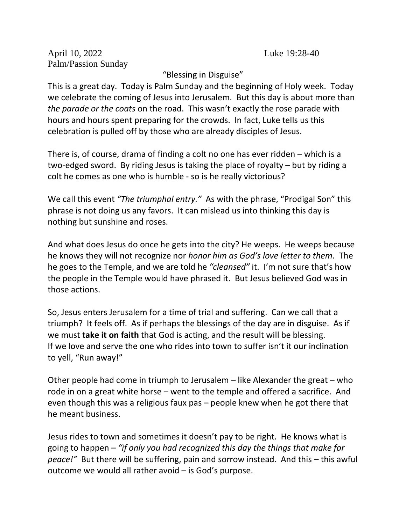April 10, 2022 Luke 19:28-40 Palm/Passion Sunday

"Blessing in Disguise"

This is a great day. Today is Palm Sunday and the beginning of Holy week. Today we celebrate the coming of Jesus into Jerusalem. But this day is about more than *the parade or the coats* on the road. This wasn't exactly the rose parade with hours and hours spent preparing for the crowds. In fact, Luke tells us this celebration is pulled off by those who are already disciples of Jesus.

There is, of course, drama of finding a colt no one has ever ridden – which is a two-edged sword. By riding Jesus is taking the place of royalty – but by riding a colt he comes as one who is humble - so is he really victorious?

We call this event *"The triumphal entry."* As with the phrase, "Prodigal Son" this phrase is not doing us any favors. It can mislead us into thinking this day is nothing but sunshine and roses.

And what does Jesus do once he gets into the city? He weeps. He weeps because he knows they will not recognize nor *honor him as God's love letter to them*. The he goes to the Temple, and we are told he *"cleansed"* it. I'm not sure that's how the people in the Temple would have phrased it. But Jesus believed God was in those actions.

So, Jesus enters Jerusalem for a time of trial and suffering. Can we call that a triumph? It feels off. As if perhaps the blessings of the day are in disguise. As if we must **take it on faith** that God is acting, and the result will be blessing. If we love and serve the one who rides into town to suffer isn't it our inclination to yell, "Run away!"

Other people had come in triumph to Jerusalem – like Alexander the great – who rode in on a great white horse – went to the temple and offered a sacrifice. And even though this was a religious faux pas – people knew when he got there that he meant business.

Jesus rides to town and sometimes it doesn't pay to be right. He knows what is going to happen *– "if only you had recognized this day the things that make for peace!"* But there will be suffering, pain and sorrow instead. And this – this awful outcome we would all rather avoid – is God's purpose.